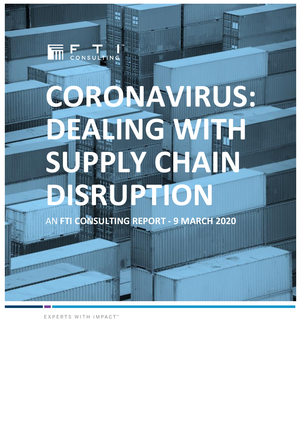# **CORONAVIRUS: DEALING WITH**   $\overline{\mathbf{Y}}$  CHA **SRUPTION**

AN **FTI CONSULTING REPORT - 9 MARCH 2020**

**EXPERTS WITH IMPACT**™

F T I

 $\overline{\mathbf{m}}$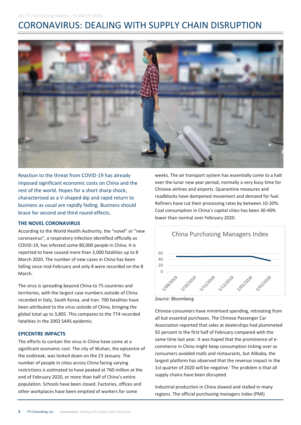

Reaction to the threat from COVID-19 has already imposed significant economic costs on China and the rest of the world. Hopes for a short sharp shock, characterised as a V-shaped dip and rapid return to business as usual are rapidly fading. Business should brace for second and third round effects.

#### **THE NOVEL CORONAVIRUS**

According to the World Health Authority, the "novel" or "new coronavirus", a respiratory infection identified officially as COVID-19, has infected some 80,000 people in China. It is reported to have caused more than 3,000 fatalities up to 8 March 2020. The number of new cases in China has been falling since mid-February and only 8 were recorded on the 8 March.

The virus is spreading beyond China to 75 countries and territories, with the largest case numbers outside of China recorded in Italy, South Korea, and Iran. 700 fatalities have been attributed to the virus outside of China, bringing the global total up to 3,805. This compares to the 774 recorded fatalities in the 2003 SARS epidemic.

#### **EPICENTRE IMPACTS**

The efforts to contain the virus in China have come at a significant economic cost. The city of Wuhan, the epicentre of the outbreak, was locked down on the 23 January. The number of people in cities across China facing varying restrictions is estimated to have peaked at 760 million at the end of February 2020, or more than half of China's entire population. Schools have been closed. Factories, offices and other workplaces have been emptied of workers for some

weeks. The air transport system has essentially come to a halt over the lunar new year period, normally a very busy time for Chinese airlines and airports. Quarantine measures and roadblocks have dampened movement and demand for fuel. Refiners have cut their processing rates by between 10-20%. Coal consumption in China's capital cities has been 30-40% lower than normal over February 2020.





Chinese consumers have minimised spending, retreating from all but essential purchases. The Chinese Passenger Car Association reported that sales at dealerships had plummeted 92 percent in the first half of February compared with the same time last year. It was hoped that the prominence of ecommerce in China might keep consumption ticking over as consumers avoided malls and restaurants, but Alibaba, the largest platform has observed that the revenue impact in the 1st quarter of 2020 will be negative.<sup>i</sup> The problem is that all supply chains have been disrupted.

Industrial production in China slowed and stalled in many regions. The official purchasing managers index (PMI)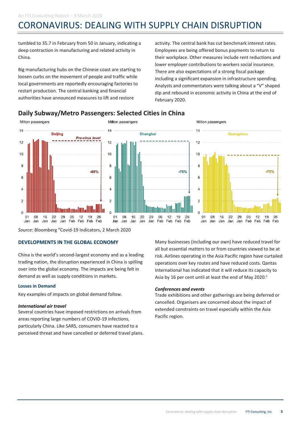tumbled to 35.7 in February from 50 in January, indicating a deep contraction in manufacturing and related activity in China.

Big manufacturing hubs on the Chinese coast are starting to loosen curbs on the movement of people and traffic while local governments are reportedly encouraging factories to restart production. The central banking and financial authorities have announced measures to lift and restore

activity. The central bank has cut benchmark interest rates. Employees are being offered bonus payments to return to their workplace. Other measures include rent reductions and lower employer contributions to workers social insurance. There are also expectations of a strong fiscal package including a significant expansion in infrastructure spending. Analysts and commentators were talking about a "V" shaped dip and rebound in economic activity in China at the end of February 2020.



### **Daily Subway/Metro Passengers: Selected Cities in China**

*Source*: Bloomberg "Covid-19 Indicators, 2 March 2020

#### **DEVELOPMENTS IN THE GLOBAL ECONOMY**

China is the world's second-largest economy and as a leading trading nation, the disruption experienced in China is spilling over into the global economy. The impacts are being felt in demand as well as supply conditions in markets.

#### **Losses in Demand**

Key examples of impacts on global demand follow.

#### *International air travel*

Several countries have imposed restrictions on arrivals from areas reporting large numbers of COVID-19 infections, particularly China. Like SARS, consumers have reacted to a perceived threat and have cancelled or deferred travel plans.

Many businesses (including our own) have reduced travel for all but essential matters to or from countries viewed to be at risk. Airlines operating in the Asia Pacific region have curtailed operations over key routes and have reduced costs. Qantas International has indicated that it will reduce its capacity to Asia by 16 per cent until at least the end of May 2020.<sup>ii</sup>

#### *Conferences and events*

Trade exhibitions and other gatherings are being deferred or cancelled. Organisers are concerned about the impact of extended constraints on travel especially within the Asia Pacific region.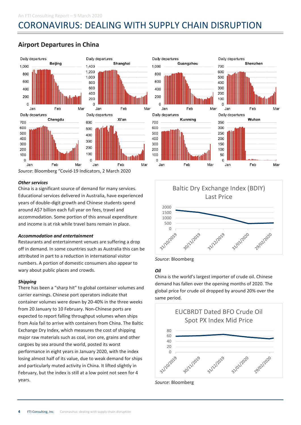## **Airport Departures in China**



*Source*: Bloomberg "Covid-19 Indicators, 2 March 2020

#### *Other services*

China is a significant source of demand for many services. Educational services delivered in Australia, have experienced years of double-digit growth and Chinese students spend around A\$7 billion each full year on fees, travel and accommodation. Some portion of this annual expenditure and income is at risk while travel bans remain in place.

#### *Accommodation and entertainment*

Restaurants and entertainment venues are suffering a drop off in demand. In some countries such as Australia this can be attributed in part to a reduction in international visitor numbers. A portion of domestic consumers also appear to wary about public places and crowds.

#### *Shipping*

There has been a "sharp hit" to global container volumes and carrier earnings. Chinese port operators indicate that container volumes were down by 20-40% in the three weeks from 20 January to 10 February. Non-Chinese ports are expected to report falling throughput volumes when ships from Asia fail to arrive with containers from China. The Baltic Exchange Dry Index, which measures the cost of shipping major raw materials such as coal, iron ore, grains and other cargoes by sea around the world, posted its worst performance in eight years in January 2020, with the index losing almost half of its value, due to weak demand for ships and particularly muted activity in China. It lifted slightly in February, but the index is still at a low point not seen for 4 years.





*Source*: Bloomberg

#### *Oil*

China is the world's largest importer of crude oil. Chinese demand has fallen over the opening months of 2020. The global price for crude oil dropped by around 20% over the same period.



*Source*: Bloomberg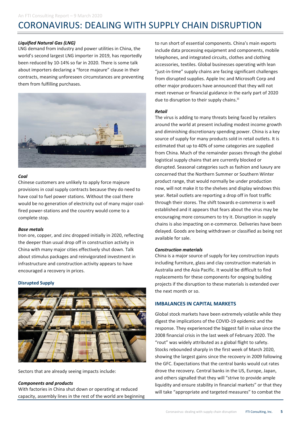#### *Liquified Natural Gas (LNG)*

LNG demand from industry and power utilities in China, the world's second largest LNG importer in 2019, has reportedly been reduced by 10-14% so far in 2020. There is some talk about importers declaring a "force majeure" clause in their contracts, meaning unforeseen circumstances are preventing them from fulfilling purchases.



#### *Coal*

Chinese customers are unlikely to apply force majeure provisions in coal supply contracts because they do need to have coal to fuel power stations. Without the coal there would be no generation of electricity out of many major coalfired power-stations and the country would come to a complete stop.

#### *Base metals*

Iron ore, copper, and zinc dropped initially in 2020, reflecting the deeper than usual drop off in construction activity in China with many major cities effectively shut down. Talk about stimulus packages and reinvigorated investment in infrastructure and construction activity appears to have encouraged a recovery in prices.

#### **Disrupted Supply**



Sectors that are already seeing impacts include:

#### *Components and products*

With factories in China shut down or operating at reduced capacity, assembly lines in the rest of the world are beginning

to run short of essential components. China's main exports include data processing equipment and components, mobile telephones, and integrated circuits, clothes and clothing accessories, textiles. Global businesses operating with lean "just-in-time" supply chains are facing significant challenges from disrupted supplies. Apple Inc and Microsoft Corp and other major producers have announced that they will not meet revenue or financial guidance in the early part of 2020 due to disruption to their supply chains.<sup>iii</sup>

#### *Retail*

The virus is adding to many threats being faced by retailers around the world at present including modest income growth and diminishing discretionary spending power. China is a key source of supply for many products sold in retail outlets. It is estimated that up to 40% of some categories are supplied from China. Much of the remainder passes through the global logistical supply chains that are currently blocked or disrupted. Seasonal categories such as fashion and luxury are concerned that the Northern Summer or Southern Winter product range, that would normally be under production now, will not make it to the shelves and display windows this year. Retail outlets are reporting a drop off in foot traffic through their stores. The shift towards e-commerce is well established and it appears that fears about the virus may be encouraging more consumers to try it. Disruption in supply chains is also impacting on e-commerce. Deliveries have been delayed. Goods are being withdrawn or classified as being not available for sale.

#### *Construction materials*

China is a major source of supply for key construction inputs including furniture, glass and clay construction materials in Australia and the Asia Pacific. It would be difficult to find replacements for these components for ongoing building projects if the disruption to these materials is extended over the next month or so.

#### **IMBALANCES IN CAPITAL MARKETS**

Global stock markets have been extremely volatile while they digest the implications of the COVID-19 epidemic and the response. They experienced the biggest fall in value since the 2008 financial crisis in the last week of February 2020. The "rout" was widely attributed as a global flight to safety. Stocks rebounded sharply in the first week of March 2020, showing the largest gains since the recovery in 2009 following the GFC. Expectations that the central banks would cut rates drove the recovery. Central banks in the US, Europe, Japan, and others signalled that they will "strive to provide ample liquidity and ensure stability in financial markets" or that they will take "appropriate and targeted measures" to combat the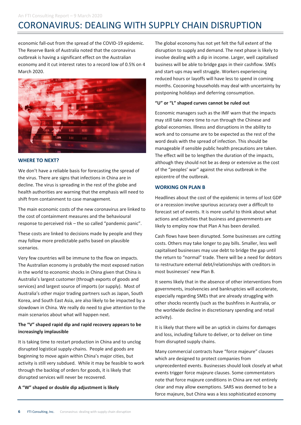economic fall-out from the spread of the COVID-19 epidemic. The Reserve Bank of Australia noted that the coronavirus outbreak is having a significant effect on the Australian economy and it cut interest rates to a record low of 0.5% on 4 March 2020.



#### **WHERE TO NEXT?**

We don't have a reliable basis for forecasting the spread of the virus. There are signs that infections in China are in decline. The virus is spreading in the rest of the globe and health authorities are warning that the emphasis will need to shift from containment to case management.

The main economic costs of the new coronavirus are linked to the cost of containment measures and the behavioural response to perceived risk – the so called "pandemic panic".

These costs are linked to decisions made by people and they may follow more predictable paths based on plausible scenarios.

Very few countries will be immune to the flow on impacts. The Australian economy is probably the most exposed nation in the world to economic shocks in China given that China is Australia's largest customer (through exports of goods and services) and largest source of imports (or supply). Most of Australia's other major trading partners such as Japan, South Korea, and South East Asia, are also likely to be impacted by a slowdown in China. We really do need to give attention to the main scenarios about what will happen next.

#### **The "V" shaped rapid dip and rapid recovery appears to be increasingly implausible**

It is taking time to restart production in China and to unclog disrupted logistical supply-chains. People and goods are beginning to move again within China's major cities, but activity is still very subdued. While it may be feasible to work through the backlog of orders for goods, it is likely that disrupted services will never be recovered.

#### **A "W" shaped or double dip adjustment is likely**

The global economy has not yet felt the full extent of the disruption to supply and demand. The next phase is likely to involve dealing with a dip in income. Larger, well capitalised business will be able to bridge gaps in their cashflow. SMEs and start-ups may well struggle. Workers experiencing reduced hours or layoffs will have less to spend in coming months. Cocooning households may deal with uncertainty by postponing holidays and deferring consumption.

#### **"U" or "L" shaped curves cannot be ruled out**

Economic managers such as the IMF warn that the impacts may still take more time to run through the Chinese and global economies. Illness and disruptions in the ability to work and to consume are to be expected as the rest of the word deals with the spread of infection. This should be manageable if sensible public health precautions are taken. The effect will be to lengthen the duration of the impacts, although they should not be as deep or extensive as the cost of the "peoples' war" against the virus outbreak in the epicentre of the outbreak.

#### **WORKING ON PLAN B**

Headlines about the cost of the epidemic in terms of lost GDP or a recession involve spurious accuracy over a difficult to forecast set of events. It is more useful to think about what actions and activities that business and governments are likely to employ now that Plan A has been derailed.

Cash flows have been disrupted. Some businesses are cutting costs. Others may take longer to pay bills. Smaller, less well capitalised businesses may use debt to bridge the gap until the return to "normal" trade. There will be a need for debtors to restructure external debt/relationships with creditors in most businesses' new Plan B.

It seems likely that in the absence of other interventions from governments, insolvencies and bankruptcies will accelerate, especially regarding SMEs that are already struggling with other shocks recently (such as the bushfires in Australia, or the worldwide decline in discretionary spending and retail activity).

It is likely that there will be an uptick in claims for damages and loss, including failure to deliver, or to deliver on time from disrupted supply chains.

Many commercial contracts have "force majeure" clauses which are designed to protect companies from unprecedented events. Businesses should look closely at what events trigger force majeure clauses. Some commentators note that force majeure conditions in China are not entirely clear and may allow exemptions. SARS was deemed to be a force majeure, but China was a less sophisticated economy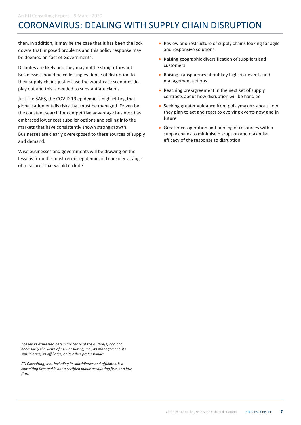then. In addition, it may be the case that it has been the lock downs that imposed problems and this policy response may be deemed an "act of Government".

Disputes are likely and they may not be straightforward. Businesses should be collecting evidence of disruption to their supply chains just in case the worst-case scenarios do play out and this is needed to substantiate claims.

Just like SARS, the COVID-19 epidemic is highlighting that globalisation entails risks that must be managed. Driven by the constant search for competitive advantage business has embraced lower cost supplier options and selling into the markets that have consistently shown strong growth. Businesses are clearly overexposed to these sources of supply and demand.

Wise businesses and governments will be drawing on the lessons from the most recent epidemic and consider a range of measures that would include:

- Review and restructure of supply chains looking for agile and responsive solutions
- Raising geographic diversification of suppliers and customers
- Raising transparency about key high-risk events and management actions
- Reaching pre-agreement in the next set of supply contracts about how disruption will be handled
- Seeking greater guidance from policymakers about how they plan to act and react to evolving events now and in future
- Greater co-operation and pooling of resources within supply chains to minimise disruption and maximise efficacy of the response to disruption

*The views expressed herein are those of the author(s) and not necessarily the views of FTI Consulting, Inc., its management, its subsidiaries, its affiliates, or its other professionals.*

*FTI Consulting, Inc., including its subsidiaries and affiliates, is a consulting firm and is not a certified public accounting firm or a law firm.*